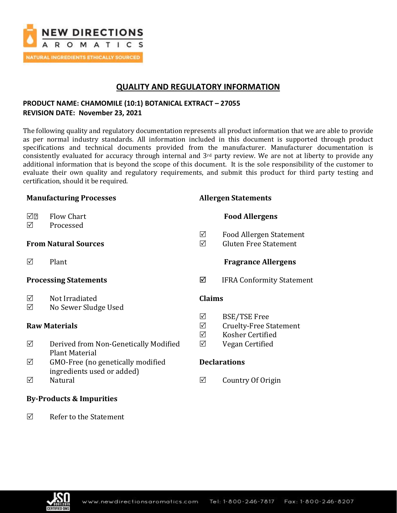

# **QUALITY AND REGULATORY INFORMATION**

## **PRODUCT NAME: CHAMOMILE (10:1) BOTANICAL EXTRACT – 27055 REVISION DATE: November 23, 2021**

The following quality and regulatory documentation represents all product information that we are able to provide as per normal industry standards. All information included in this document is supported through product specifications and technical documents provided from the manufacturer. Manufacturer documentation is consistently evaluated for accuracy through internal and 3rd party review. We are not at liberty to provide any additional information that is beyond the scope of this document. It is the sole responsibility of the customer to evaluate their own quality and regulatory requirements, and submit this product for third party testing and certification, should it be required.

| <b>Manufacturing Processes</b> |                                        |               | <b>Allergen Statements</b>                              |  |
|--------------------------------|----------------------------------------|---------------|---------------------------------------------------------|--|
| √[?<br>☑                       | Flow Chart<br>Processed                |               | <b>Food Allergens</b>                                   |  |
|                                | <b>From Natural Sources</b>            | ☑<br>☑        | Food Allergen Statement<br><b>Gluten Free Statement</b> |  |
| ☑                              | Plant                                  |               | <b>Fragrance Allergens</b>                              |  |
| <b>Processing Statements</b>   |                                        | ☑             | <b>IFRA Conformity Statement</b>                        |  |
| ☑<br>☑                         | Not Irradiated<br>No Sewer Sludge Used | <b>Claims</b> |                                                         |  |

### **Raw Materials**

- $\boxtimes$  Derived from Non-Genetically Modified Plant Material
- $\boxtimes$  GMO-Free (no genetically modified ingredients used or added)
- $\nabla$  Natural

### **By-Products & Impurities**

 $\nabla$  Refer to the Statement

- $\boxtimes$  BSE/TSE Free
- $\boxtimes$  Cruelty-Free Statement
- Kosher Certified
- $\nabla$  Vegan Certified

### **Declarations**

 $\boxtimes$  Country Of Origin

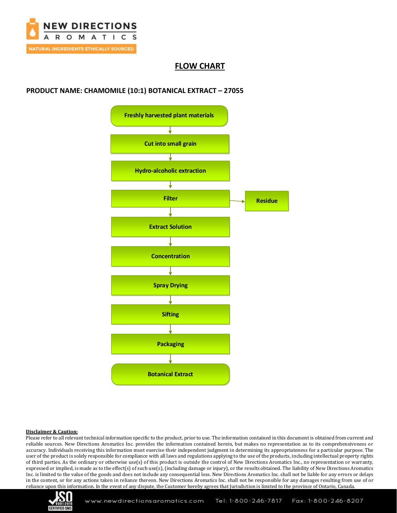

# **FLOW CHART**

## **PRODUCT NAME: CHAMOMILE (10:1) BOTANICAL EXTRACT – 27055**



#### **Disclaimer & Caution:**

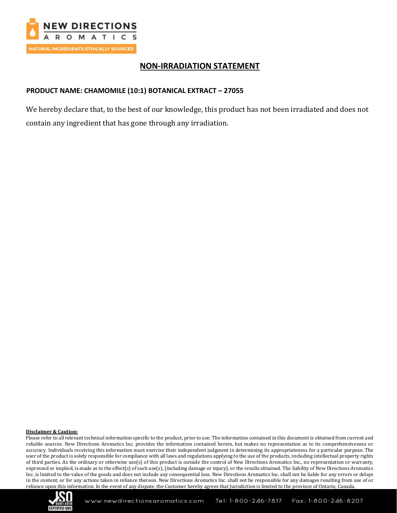

# **NON-IRRADIATION STATEMENT**

## **PRODUCT NAME: CHAMOMILE (10:1) BOTANICAL EXTRACT – 27055**

We hereby declare that, to the best of our knowledge, this product has not been irradiated and does not contain any ingredient that has gone through any irradiation.

#### **Disclaimer & Caution:**

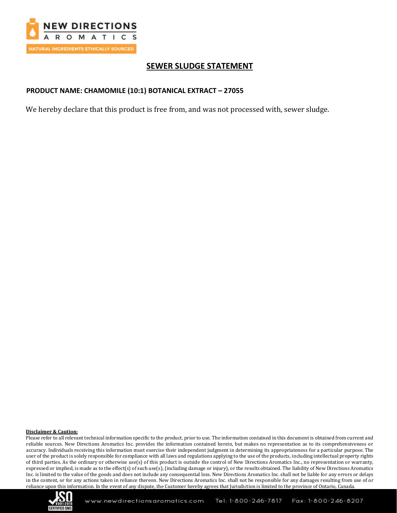

# **SEWER SLUDGE STATEMENT**

### **PRODUCT NAME: CHAMOMILE (10:1) BOTANICAL EXTRACT – 27055**

We hereby declare that this product is free from, and was not processed with, sewer sludge.

### **Disclaimer & Caution:**

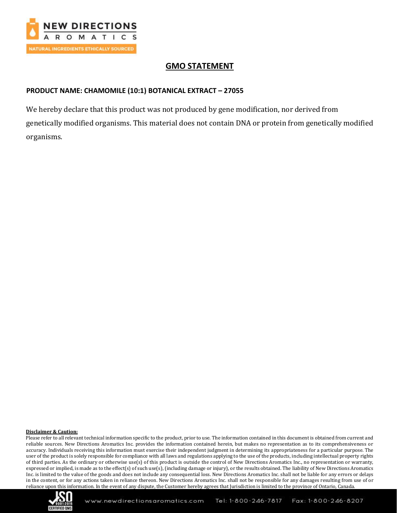

# **GMO STATEMENT**

## **PRODUCT NAME: CHAMOMILE (10:1) BOTANICAL EXTRACT – 27055**

We hereby declare that this product was not produced by gene modification, nor derived from genetically modified organisms. This material does not contain DNA or protein from genetically modified organisms.

### **Disclaimer & Caution:**

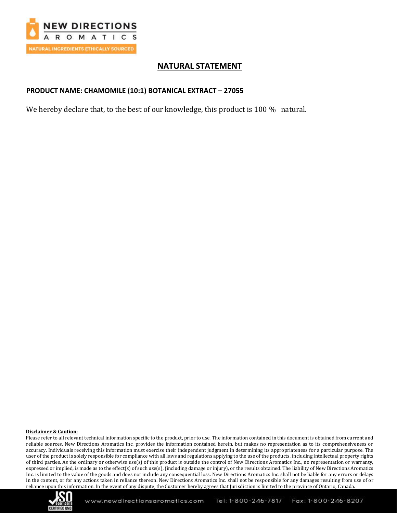

# **NATURAL STATEMENT**

### **PRODUCT NAME: CHAMOMILE (10:1) BOTANICAL EXTRACT – 27055**

We hereby declare that, to the best of our knowledge, this product is 100 % natural.

### **Disclaimer & Caution:**

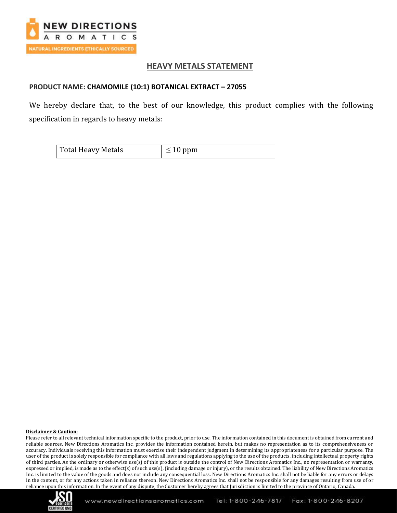

## **HEAVY METALS STATEMENT**

### **PRODUCT NAME: CHAMOMILE (10:1) BOTANICAL EXTRACT – 27055**

We hereby declare that, to the best of our knowledge, this product complies with the following specification in regards to heavy metals:

| Total Heavy Metals | $\leq 10$ ppm |
|--------------------|---------------|
|                    |               |

#### **Disclaimer & Caution:**

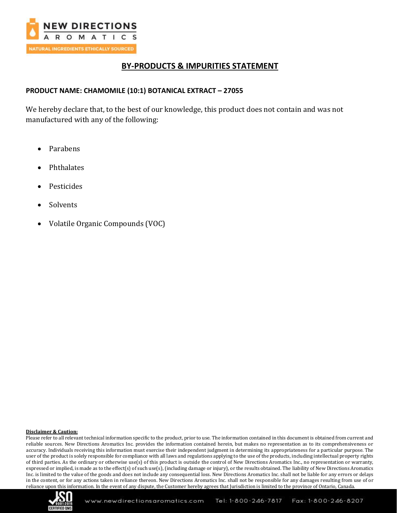

# **BY-PRODUCTS & IMPURITIES STATEMENT**

### **PRODUCT NAME: CHAMOMILE (10:1) BOTANICAL EXTRACT – 27055**

We hereby declare that, to the best of our knowledge, this product does not contain and was not manufactured with any of the following:

- Parabens
- Phthalates
- Pesticides
- **Solvents**
- Volatile Organic Compounds (VOC)

#### **Disclaimer & Caution:**

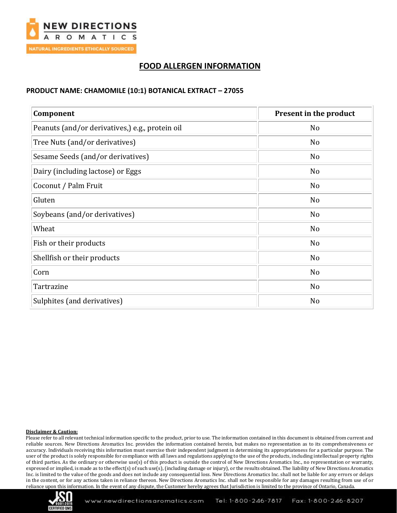

# **FOOD ALLERGEN INFORMATION**

### **PRODUCT NAME: CHAMOMILE (10:1) BOTANICAL EXTRACT – 27055**

| Component                                       | Present in the product |
|-------------------------------------------------|------------------------|
| Peanuts (and/or derivatives,) e.g., protein oil | N <sub>0</sub>         |
| Tree Nuts (and/or derivatives)                  | N <sub>0</sub>         |
| Sesame Seeds (and/or derivatives)               | No                     |
| Dairy (including lactose) or Eggs               | N <sub>o</sub>         |
| Coconut / Palm Fruit                            | N <sub>0</sub>         |
| Gluten                                          | N <sub>o</sub>         |
| Soybeans (and/or derivatives)                   | N <sub>o</sub>         |
| Wheat                                           | N <sub>0</sub>         |
| Fish or their products                          | N <sub>o</sub>         |
| Shellfish or their products                     | No                     |
| Corn                                            | N <sub>0</sub>         |
| Tartrazine                                      | N <sub>o</sub>         |
| Sulphites (and derivatives)                     | No                     |

### **Disclaimer & Caution:**

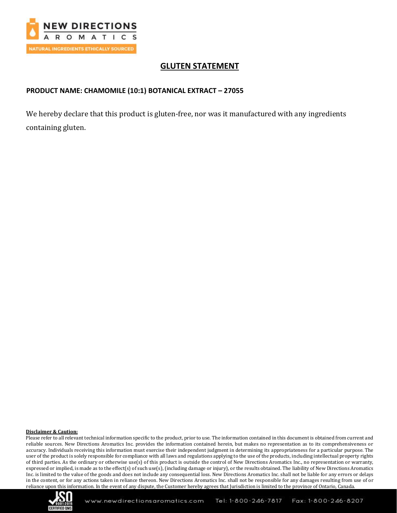

# **GLUTEN STATEMENT**

## **PRODUCT NAME: CHAMOMILE (10:1) BOTANICAL EXTRACT – 27055**

We hereby declare that this product is gluten-free, nor was it manufactured with any ingredients containing gluten.

### **Disclaimer & Caution:**

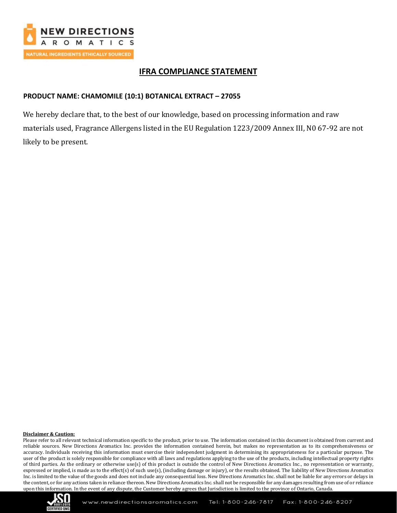

# **IFRA COMPLIANCE STATEMENT**

## **PRODUCT NAME: CHAMOMILE (10:1) BOTANICAL EXTRACT – 27055**

We hereby declare that, to the best of our knowledge, based on processing information and raw materials used, Fragrance Allergens listed in the EU Regulation 1223/2009 Annex III, N0 67-92 are not likely to be present.

### **Disclaimer & Caution:**

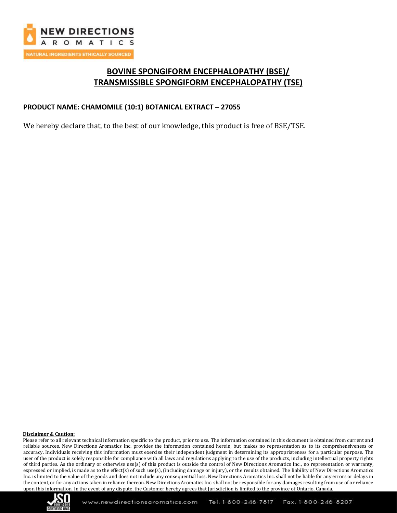

# **BOVINE SPONGIFORM ENCEPHALOPATHY (BSE)/ TRANSMISSIBLE SPONGIFORM ENCEPHALOPATHY (TSE)**

## **PRODUCT NAME: CHAMOMILE (10:1) BOTANICAL EXTRACT – 27055**

We hereby declare that, to the best of our knowledge, this product is free of BSE/TSE.

#### **Disclaimer & Caution:**

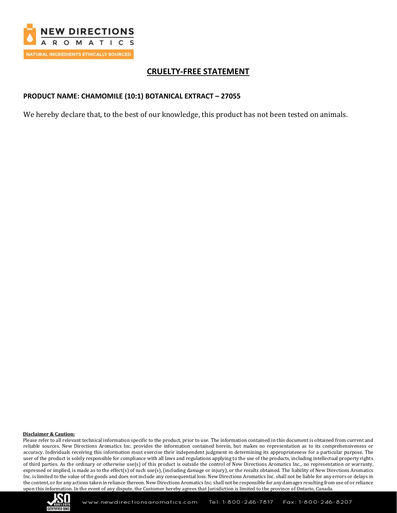

# **CRUELTY-FREE STATEMENT**

## **PRODUCT NAME: CHAMOMILE (10:1) BOTANICAL EXTRACT – 27055**

We hereby declare that, to the best of our knowledge, this product has not been tested on animals.

### **Disclaimer & Caution:**

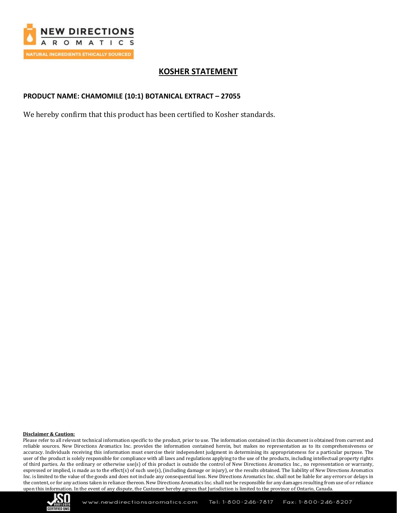

# **KOSHER STATEMENT**

## **PRODUCT NAME: CHAMOMILE (10:1) BOTANICAL EXTRACT – 27055**

We hereby confirm that this product has been certified to Kosher standards.

### **Disclaimer & Caution:**

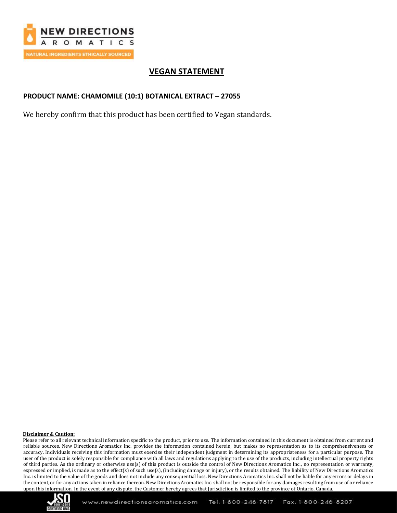

# **VEGAN STATEMENT**

## **PRODUCT NAME: CHAMOMILE (10:1) BOTANICAL EXTRACT – 27055**

We hereby confirm that this product has been certified to Vegan standards.

#### **Disclaimer & Caution:**